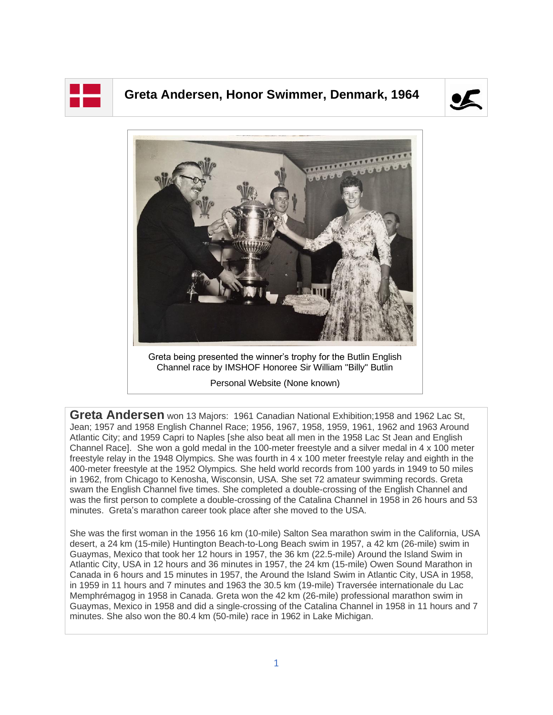

## **Greta Andersen, Honor Swimmer, Denmark, 1964**





Greta being presented the winner's trophy for the Butlin English Channel race by IMSHOF Honoree Sir William "Billy" Butlin

Personal Website (None known)

**Greta Andersen** won 13 Majors: 1961 Canadian National Exhibition;1958 and 1962 Lac St, Jean; 1957 and 1958 English Channel Race; 1956, 1967, 1958, 1959, 1961, 1962 and 1963 Around Atlantic City; and 1959 Capri to Naples [she also beat all men in the 1958 Lac St Jean and English Channel Race]. She won a gold medal in the 100-meter freestyle and a silver medal in 4 x 100 meter freestyle relay in the 1948 Olympics. She was fourth in 4 x 100 meter freestyle relay and eighth in the 400-meter freestyle at the 1952 Olympics. She held world records from 100 yards in 1949 to 50 miles in 1962, from Chicago to Kenosha, Wisconsin, USA. She set 72 amateur swimming records. Greta swam the English Channel five times. She completed a double-crossing of the English Channel and was the first person to complete a double-crossing of the Catalina Channel in 1958 in 26 hours and 53 minutes. Greta's marathon career took place after she moved to the USA.

She was the first woman in the 1956 16 km (10-mile) Salton Sea marathon swim in the California, USA desert, a 24 km (15-mile) Huntington Beach-to-Long Beach swim in 1957, a 42 km (26-mile) swim in Guaymas, Mexico that took her 12 hours in 1957, the 36 km (22.5-mile) Around the Island Swim in Atlantic City, USA in 12 hours and 36 minutes in 1957, the 24 km (15-mile) Owen Sound Marathon in Canada in 6 hours and 15 minutes in 1957, the Around the Island Swim in Atlantic City, USA in 1958, in 1959 in 11 hours and 7 minutes and 1963 the 30.5 km (19-mile) Traversée internationale du Lac Memphrémagog in 1958 in Canada. Greta won the 42 km (26-mile) professional marathon swim in Guaymas, Mexico in 1958 and did a single-crossing of the Catalina Channel in 1958 in 11 hours and 7 minutes. She also won the 80.4 km (50-mile) race in 1962 in Lake Michigan.